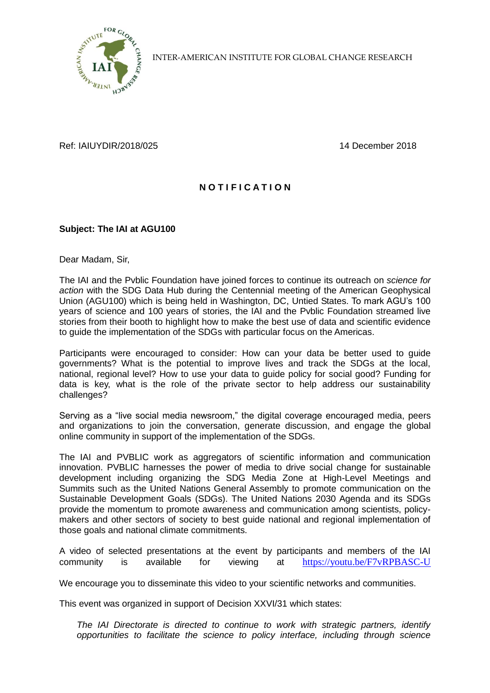

INTER-AMERICAN INSTITUTE FOR GLOBAL CHANGE RESEARCH

Ref: IAIUYDIR/2018/025 14 December 2018

## **N O T I F I C A T I O N**

## **Subject: The IAI at AGU100**

Dear Madam, Sir,

The IAI and the Pvblic Foundation have joined forces to continue its outreach on *science for action* with the SDG Data Hub during the Centennial meeting of the American Geophysical Union (AGU100) which is being held in Washington, DC, Untied States. To mark AGU's 100 years of science and 100 years of stories, the IAI and the Pvblic Foundation streamed live stories from their booth to highlight how to make the best use of data and scientific evidence to guide the implementation of the SDGs with particular focus on the Americas.

Participants were encouraged to consider: How can your data be better used to guide governments? What is the potential to improve lives and track the SDGs at the local, national, regional level? How to use your data to guide policy for social good? Funding for data is key, what is the role of the private sector to help address our sustainability challenges?

Serving as a "live social media newsroom," the digital coverage encouraged media, peers and organizations to join the conversation, generate discussion, and engage the global online community in support of the implementation of the SDGs.

The IAI and PVBLIC work as aggregators of scientific information and communication innovation. PVBLIC harnesses the power of media to drive social change for sustainable development including organizing the SDG Media Zone at High-Level Meetings and Summits such as the United Nations General Assembly to promote communication on the Sustainable Development Goals (SDGs). The United Nations 2030 Agenda and its SDGs provide the momentum to promote awareness and communication among scientists, policymakers and other sectors of society to best guide national and regional implementation of those goals and national climate commitments.

A video of selected presentations at the event by participants and members of the IAI community is available for viewing at <https://youtu.be/F7vRPBASC-U>

We encourage you to disseminate this video to your scientific networks and communities.

This event was organized in support of Decision XXVI/31 which states:

*The IAI Directorate is directed to continue to work with strategic partners, identify opportunities to facilitate the science to policy interface, including through science*